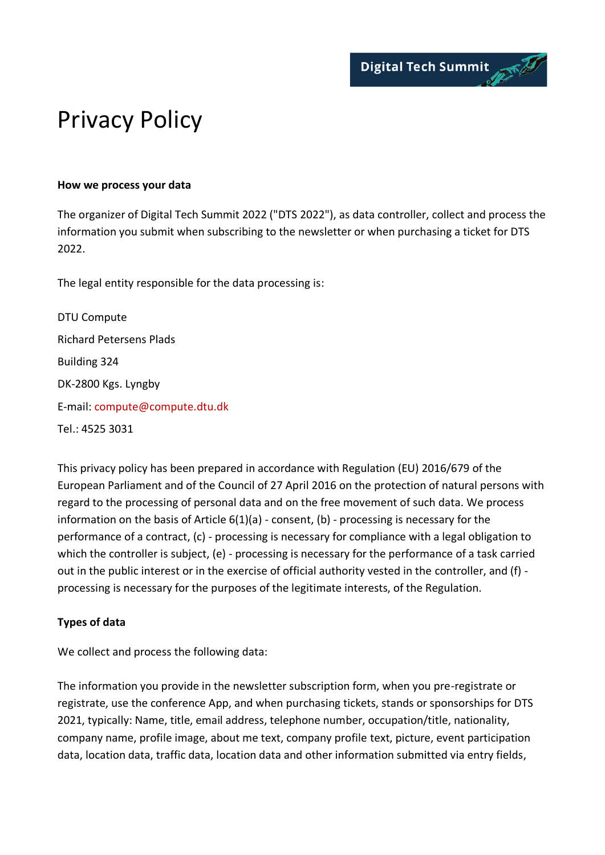

# Privacy Policy

#### **How we process your data**

The organizer of Digital Tech Summit 2022 ("DTS 2022"), as data controller, collect and process the information you submit when subscribing to the newsletter or when purchasing a ticket for DTS 2022.

The legal entity responsible for the data processing is:

DTU Compute Richard Petersens Plads Building 324 DK-2800 Kgs. Lyngby E-mail: compute@compute.dtu.dk Tel.: 4525 3031

This privacy policy has been prepared in accordance with Regulation (EU) 2016/679 of the European Parliament and of the Council of 27 April 2016 on the protection of natural persons with regard to the processing of personal data and on the free movement of such data. We process information on the basis of Article 6(1)(a) - consent, (b) - processing is necessary for the performance of a contract, (c) - processing is necessary for compliance with a legal obligation to which the controller is subject, (e) - processing is necessary for the performance of a task carried out in the public interest or in the exercise of official authority vested in the controller, and (f) processing is necessary for the purposes of the legitimate interests, of the Regulation.

## **Types of data**

We collect and process the following data:

The information you provide in the newsletter subscription form, when you pre-registrate or registrate, use the conference App, and when purchasing tickets, stands or sponsorships for DTS 2021, typically: Name, title, email address, telephone number, occupation/title, nationality, company name, profile image, about me text, company profile text, picture, event participation data, location data, traffic data, location data and other information submitted via entry fields,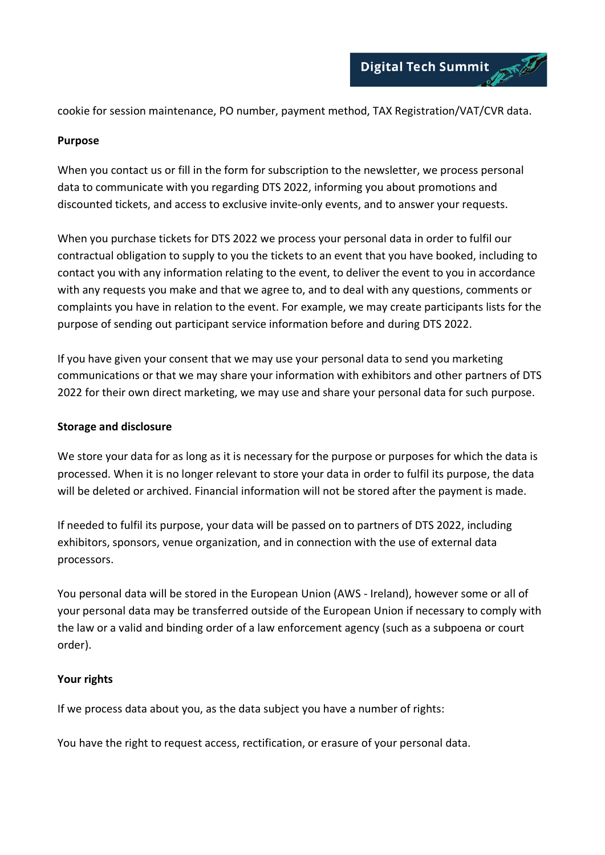cookie for session maintenance, PO number, payment method, TAX Registration/VAT/CVR data.

#### **Purpose**

When you contact us or fill in the form for subscription to the newsletter, we process personal data to communicate with you regarding DTS 2022, informing you about promotions and discounted tickets, and access to exclusive invite-only events, and to answer your requests.

When you purchase tickets for DTS 2022 we process your personal data in order to fulfil our contractual obligation to supply to you the tickets to an event that you have booked, including to contact you with any information relating to the event, to deliver the event to you in accordance with any requests you make and that we agree to, and to deal with any questions, comments or complaints you have in relation to the event. For example, we may create participants lists for the purpose of sending out participant service information before and during DTS 2022.

If you have given your consent that we may use your personal data to send you marketing communications or that we may share your information with exhibitors and other partners of DTS 2022 for their own direct marketing, we may use and share your personal data for such purpose.

### **Storage and disclosure**

We store your data for as long as it is necessary for the purpose or purposes for which the data is processed. When it is no longer relevant to store your data in order to fulfil its purpose, the data will be deleted or archived. Financial information will not be stored after the payment is made.

If needed to fulfil its purpose, your data will be passed on to partners of DTS 2022, including exhibitors, sponsors, venue organization, and in connection with the use of external data processors.

You personal data will be stored in the European Union (AWS - Ireland), however some or all of your personal data may be transferred outside of the European Union if necessary to comply with the law or a valid and binding order of a law enforcement agency (such as a subpoena or court order).

#### **Your rights**

If we process data about you, as the data subject you have a number of rights:

You have the right to request access, rectification, or erasure of your personal data.